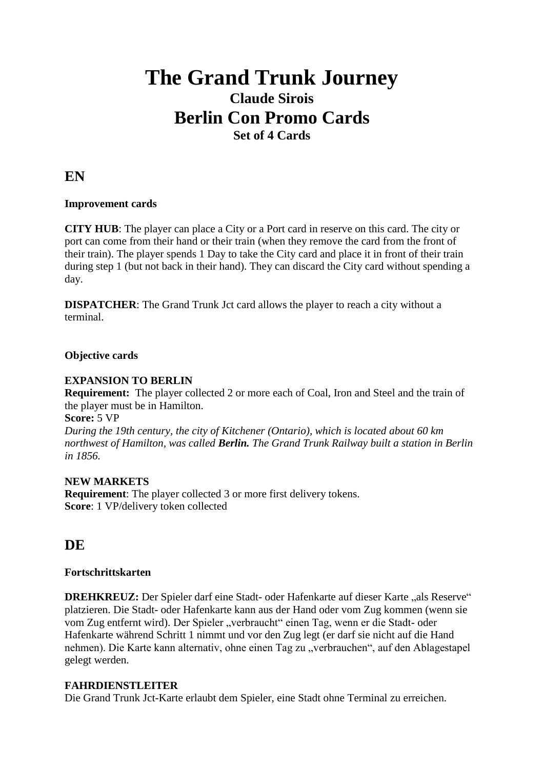# **The Grand Trunk Journey Claude Sirois Berlin Con Promo Cards Set of 4 Cards**

**EN**

# **Improvement cards**

**CITY HUB**: The player can place a City or a Port card in reserve on this card. The city or port can come from their hand or their train (when they remove the card from the front of their train). The player spends 1 Day to take the City card and place it in front of their train during step 1 (but not back in their hand). They can discard the City card without spending a day.

**DISPATCHER:** The Grand Trunk Jct card allows the player to reach a city without a terminal.

# **Objective cards**

# **EXPANSION TO BERLIN**

**Requirement:** The player collected 2 or more each of Coal, Iron and Steel and the train of the player must be in Hamilton.

### **Score:** 5 VP

*During the 19th century, the city of Kitchener (Ontario), which is located about 60 km northwest of Hamilton, was called Berlin. The Grand Trunk Railway built a station in Berlin in 1856.*

# **NEW MARKETS**

**Requirement**: The player collected 3 or more first delivery tokens. **Score**: 1 VP/delivery token collected

# **DE**

# **Fortschrittskarten**

**DREHKREUZ:** Der Spieler darf eine Stadt- oder Hafenkarte auf dieser Karte "als Reserve" platzieren. Die Stadt- oder Hafenkarte kann aus der Hand oder vom Zug kommen (wenn sie vom Zug entfernt wird). Der Spieler "verbraucht" einen Tag, wenn er die Stadt- oder Hafenkarte während Schritt 1 nimmt und vor den Zug legt (er darf sie nicht auf die Hand nehmen). Die Karte kann alternativ, ohne einen Tag zu "verbrauchen", auf den Ablagestapel gelegt werden.

# **FAHRDIENSTLEITER**

Die Grand Trunk Jct-Karte erlaubt dem Spieler, eine Stadt ohne Terminal zu erreichen.